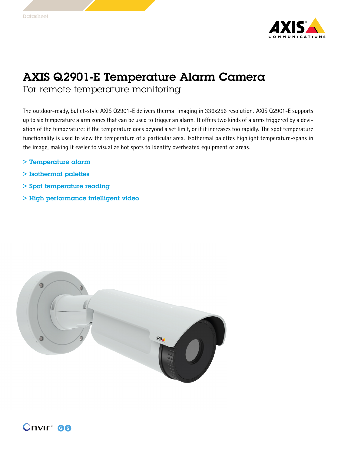

## AXIS Q2901-E Temperature Alarm Camera

For remote temperature monitoring

The outdoor-ready, bullet-style AXIS Q2901-E delivers thermal imaging in 336x256 resolution. AXIS Q2901-E supports up to six temperature alarm zones that can be used to trigger an alarm. It offers two kinds of alarms triggered by <sup>a</sup> deviation of the temperature: if the temperature goes beyond <sup>a</sup> set limit, or if it increases too rapidly. The spot temperature functionality is used to view the temperature of <sup>a</sup> particular area. Isothermal palettes highlight temperature-spans in the image, making it easier to visualize hot spots to identify overheated equipment or areas.

- > Temperature alarm
- > Isothermal palettes
- > Spot temperature reading
- > High performance intelligent video